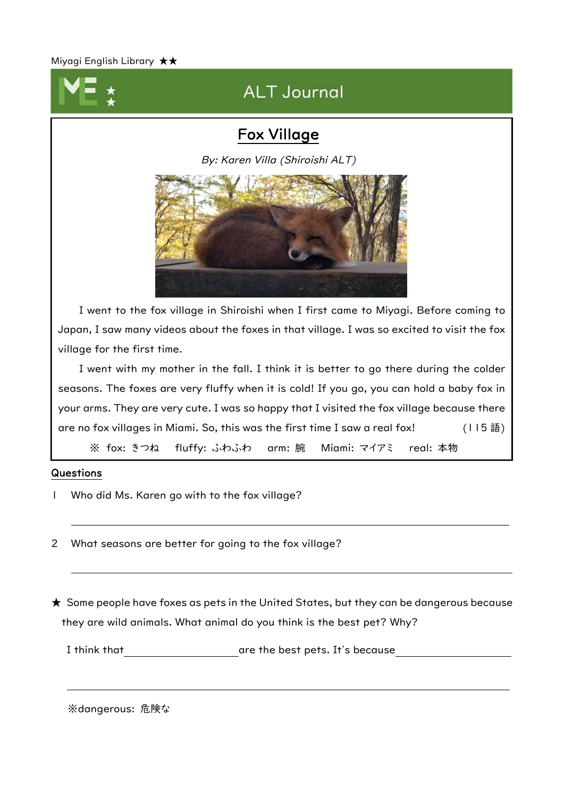Miyagi English Library ★★



# ALT Journal

### Fox Village

By: Karen Villa (Shiroishi ALT)



I went to the fox village in Shiroishi when I first came to Miyagi. Before coming to Japan, I saw many videos about the foxes in that village. I was so excited to visit the fox village for the first time.

I went with my mother in the fall. I think it is better to go there during the colder seasons. The foxes are very fluffy when it is cold! If you go, you can hold a baby fox in your arms. They are very cute. I was so happy that I visited the fox village because there are no fox villages in Miami. So, this was the first time I saw a real fox! (115語)

※ fox: きつね fluffy: ふわふわ arm: 腕 Miami: マイアミ real: 本物

#### Questions

- 1 Who did Ms. Karen go with to the fox village?
- 2 What seasons are better for going to the fox village?

★ Some people have foxes as pets in the United States, but they can be dangerous because they are wild animals. What animal do you think is the best pet? Why?

I think that are the best pets. It's because

※dangerous: 危険な